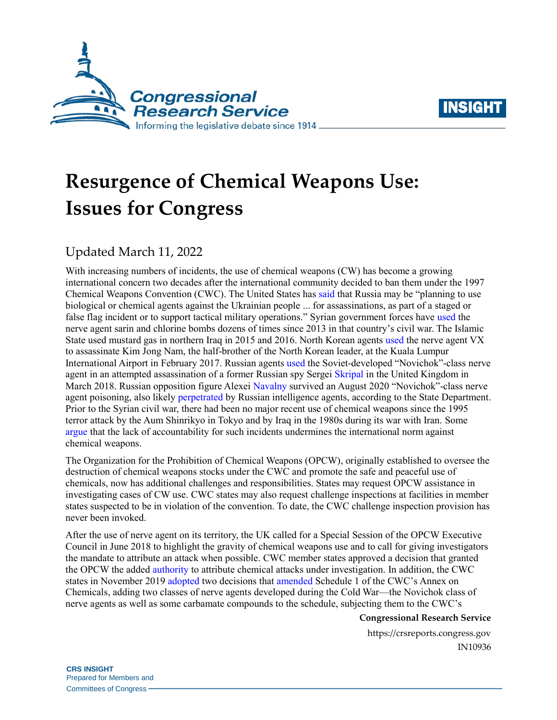



# **Resurgence of Chemical Weapons Use: Issues for Congress**

## Updated March 11, 2022

With increasing numbers of incidents, the use of chemical weapons (CW) has become a growing international concern two decades after the international community decided to ban them under the 1997 Chemical Weapons Convention (CWC). The United States has [said](https://media.un.org/en/asset/k16/k16nsx50dm) that Russia may be "planning to use biological or chemical agents against the Ukrainian people ... for assassinations, as part of a staged or false flag incident or to support tactical military operations." Syrian government forces have [used](https://www.opcw.org/media-centre/news/2020/07/opcw-executive-council-adopts-decision-addressing-possession-and-use) the nerve agent sarin and chlorine bombs dozens of times since 2013 in that country's civil war. The Islamic State used mustard gas in northern Iraq in 2015 and 2016. North Korean agent[s used](https://www.opcw.org/fileadmin/OPCW/EC/84/en/Malaysia_ec84_statement.pdf) the nerve agent VX to assassinate Kim Jong Nam, the half-brother of the North Korean leader, at the Kuala Lumpur International Airport in February 2017. Russian agents [used](https://www.gov.uk/government/speeches/pm-commons-statement-on-salisbury-incident-response-14-march-2018) the Soviet-developed "Novichok"-class nerve agent in an attempted assassination of a former Russian spy Sergei [Skripal](https://crsreports.congress.gov/product/pdf/IF/IF10962) in the United Kingdom in March 2018. Russian opposition figure Alexei [Navalny](https://www.state.gov/g7-foreign-ministers-statement-on-the-poisoning-of-alexei-navalny/) survived an August 2020 "Novichok"-class nerve agent poisoning, also likel[y perpetrated](https://www.cnn.com/2020/12/23/politics/state-dept-navalny-statement/index.html) by Russian intelligence agents, according to the State Department. Prior to the Syrian civil war, there had been no major recent use of chemical weapons since the 1995 terror attack by the Aum Shinrikyo in Tokyo and by Iraq in the 1980s during its war with Iran. Some [argue](https://www.csis.org/analysis/restoring-restraint) that the lack of accountability for such incidents undermines the international norm against chemical weapons.

The Organization for the Prohibition of Chemical Weapons (OPCW), originally established to oversee the destruction of chemical weapons stocks under the CWC and promote the safe and peaceful use of chemicals, now has additional challenges and responsibilities. States may request OPCW assistance in investigating cases of CW use. CWC states may also request challenge inspections at facilities in member states suspected to be in violation of the convention. To date, the CWC challenge inspection provision has never been invoked.

After the use of nerve agent on its territory, the UK called for a Special Session of the OPCW Executive Council in June 2018 to highlight the gravity of chemical weapons use and to call for giving investigators the mandate to attribute an attack when possible. CWC member states approved a decision that granted the OPCW the adde[d authority](https://www.opcw.org/news/article/cwc-conference-of-the-states-parties-adopts-decision-addressing-the-threat-from-chemical-weapons-use/) to attribute chemical attacks under investigation. In addition, the CWC states in November 2019 [adopted](https://www.opcw.org/media-centre/news/2019/11/conference-states-parties-adopts-decisions-amend-chemical-weapons) two decisions that [amended](https://www.armscontrol.org/act/2020-04/features/updating-cwc-we-got-here-what-next) Schedule 1 of the CWC's Annex on Chemicals, adding two classes of nerve agents developed during the Cold War—the Novichok class of nerve agents as well as some carbamate compounds to the schedule, subjecting them to the CWC's

#### **Congressional Research Service**

https://crsreports.congress.gov IN10936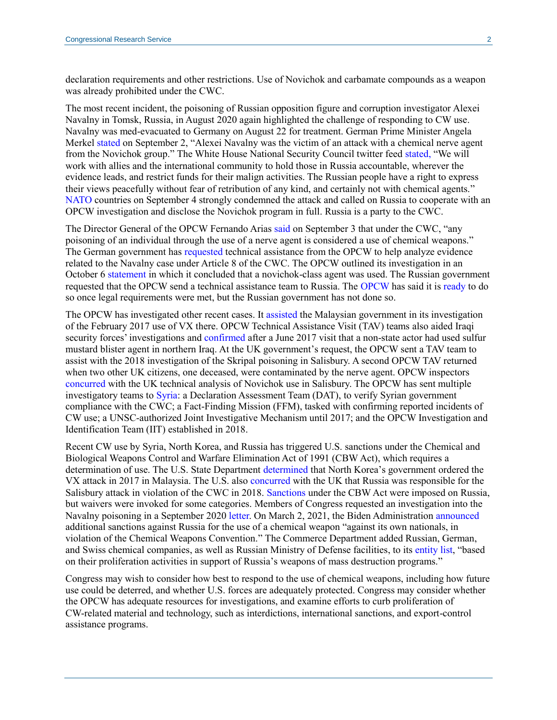declaration requirements and other restrictions. Use of Novichok and carbamate compounds as a weapon was already prohibited under the CWC.

The most recent incident, the poisoning of Russian opposition figure and corruption investigator Alexei Navalny in Tomsk, Russia, in August 2020 again highlighted the challenge of responding to CW use. Navalny was med-evacuated to Germany on August 22 for treatment. German Prime Minister Angela Merkel [stated](https://www.bundesregierung.de/breg-en/news/new-information-in-the-alexei-navalny-case-1781898) on September 2, "Alexei Navalny was the victim of an attack with a chemical nerve agent from the Novichok group." The White House National Security Council twitter feed [stated,](https://twitter.com/WHNSC/status/1301196035306422277) "We will work with allies and the international community to hold those in Russia accountable, wherever the evidence leads, and restrict funds for their malign activities. The Russian people have a right to express their views peacefully without fear of retribution of any kind, and certainly not with chemical agents." [NATO](https://www.nato.int/cps/en/natohq/opinions_177743.htm) countries on September 4 strongly condemned the attack and called on Russia to cooperate with an OPCW investigation and disclose the Novichok program in full. Russia is a party to the CWC.

The Director General of the OPCW Fernando Arias [said](https://www.opcw.org/media-centre/news/2020/09/statement-opcw-director-general-allegations-chemical-weapons-use-against) on September 3 that under the CWC, "any poisoning of an individual through the use of a nerve agent is considered a use of chemical weapons." The German government ha[s requested](https://www.bundesregierung.de/breg-en/news/statement-by-the-federal-government-on-the-navalny-case-1786624) technical assistance from the OPCW to help analyze evidence related to the Navalny case under Article 8 of the CWC. The OPCW outlined its investigation in an October 6 [statement](https://www.opcw.org/media-centre/news/2020/10/opcw-issues-report-technical-assistance-requested-germany) in which it concluded that a novichok-class agent was used. The Russian government requested that the OPCW send a technical assistance team to Russia. The [OPCW](https://www.opcw.org/media-centre/featured-topics/case-mr-alexei-navalny) has said it is [ready](https://www.opcw.org/media-centre/featured-topics/case-mr-alexei-navalny) to do so once legal requirements were met, but the Russian government has not done so.

The OPCW has investigated other recent cases. It [assisted](https://www.opcw.org/fileadmin/OPCW/EC/84/en/ec84dec08_e_.pdf) the Malaysian government in its investigation of the February 2017 use of VX there. OPCW Technical Assistance Visit (TAV) teams also aided Iraqi security forces' investigations and [confirmed](https://www.opcw.org/fileadmin/OPCW/EC/85/en/ec8517_c22crp01_e_.pdf) after a June 2017 visit that a non-state actor had used sulfur mustard blister agent in northern Iraq. At the UK government's request, the OPCW sent a TAV team to assist with the 2018 investigation of the Skripal poisoning in Salisbury. A second OPCW TAV returned when two other UK citizens, one deceased, were contaminated by the nerve agent. OPCW inspectors [concurred](https://www.opcw.org/fileadmin/OPCW/S_series/2018/en/s-1612-2018_e_.pdf) with the UK technical analysis of Novichok use in Salisbury. The OPCW has sent multiple investigatory teams to [Syria:](https://www.opcw.org/media-centre/news/2020/07/opcw-executive-council-adopts-decision-addressing-possession-and-use) a Declaration Assessment Team (DAT), to verify Syrian government compliance with the CWC; a Fact-Finding Mission (FFM), tasked with confirming reported incidents of CW use; a UNSC-authorized Joint Investigative Mechanism until 2017; and the OPCW Investigation and Identification Team (IIT) established in 2018.

Recent CW use by Syria, North Korea, and Russia has triggered U.S. sanctions under the Chemical and Biological Weapons Control and Warfare Elimination Act of 1991 (CBW Act), which requires a determination of use. The U.S. State Department [determined](https://www.state.gov/r/pa/prs/ps/2018/03/279079.htm) that North Korea's government ordered the VX attack in 2017 in Malaysia. The U.S. also [concurred](https://www.state.gov/t/avc/rls/rpt/2018/280534.htm) with the UK that Russia was responsible for the Salisbury attack in violation of the CWC in 2018. [Sanctions](https://crsreports.congress.gov/product/pdf/R/R45415) under the CBW Act were imposed on Russia, but waivers were invoked for some categories. Members of Congress requested an investigation into the Navalny poisoning in a September 2020 [letter.](https://foreignaffairs.house.gov/2020/9/engel-mccaul-call-for-investigation-on-russia-for-chemical-weapons-attack-against-alexey-navalny) On March 2, 2021, the Biden Administration [announced](https://www.state.gov/u-s-sanctions-and-other-measures-imposed-on-russia-in-response-to-russias-use-of-chemical-weapons/) additional sanctions against Russia for the use of a chemical weapon "against its own nationals, in violation of the Chemical Weapons Convention." The Commerce Department added Russian, German, and Swiss chemical companies, as well as Russian Ministry of Defense facilities, to its [entity list,](https://www.federalregister.gov/documents/2021/03/04/2021-04505/addition-of-certain-entities-to-the-entity-list-correction-of-existing-entries-on-the-entity-list) "based on their proliferation activities in support of Russia's weapons of mass destruction programs."

Congress may wish to consider how best to respond to the use of chemical weapons, including how future use could be deterred, and whether U.S. forces are adequately protected. Congress may consider whether the OPCW has adequate resources for investigations, and examine efforts to curb proliferation of CW-related material and technology, such as interdictions, international sanctions, and export-control assistance programs.